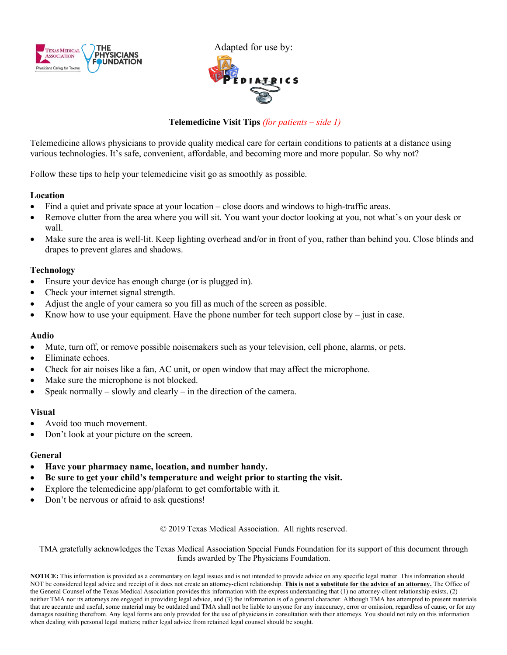

Adapted for use by: PEDIAT

**Telemedicine Visit Tips** *(for patients – side 1)*

Telemedicine allows physicians to provide quality medical care for certain conditions to patients at a distance using various technologies. It's safe, convenient, affordable, and becoming more and more popular. So why not?

Follow these tips to help your telemedicine visit go as smoothly as possible.

## **Location**

- Find a quiet and private space at your location close doors and windows to high-traffic areas.
- Remove clutter from the area where you will sit. You want your doctor looking at you, not what's on your desk or wall.
- Make sure the area is well-lit. Keep lighting overhead and/or in front of you, rather than behind you. Close blinds and drapes to prevent glares and shadows.

# **Technology**

- Ensure your device has enough charge (or is plugged in).
- Check your internet signal strength.
- Adjust the angle of your camera so you fill as much of the screen as possible.
- Know how to use your equipment. Have the phone number for tech support close by  $-$  just in case.

#### **Audio**

- Mute, turn off, or remove possible noisemakers such as your television, cell phone, alarms, or pets.
- Eliminate echoes.
- Check for air noises like a fan, AC unit, or open window that may affect the microphone.
- Make sure the microphone is not blocked.
- Speak normally slowly and clearly in the direction of the camera.

#### **Visual**

- Avoid too much movement.
- Don't look at your picture on the screen.

#### **General**

- **Have your pharmacy name, location, and number handy.**
- **Be sure to get your child's temperature and weight prior to starting the visit.**
- Explore the telemedicine app/plaform to get comfortable with it.
- Don't be nervous or afraid to ask questions!

© 2019 Texas Medical Association. All rights reserved.

TMA gratefully acknowledges the Texas Medical Association Special Funds Foundation for its support of this document through funds awarded by The Physicians Foundation.

**NOTICE:** This information is provided as a commentary on legal issues and is not intended to provide advice on any specific legal matter. This information should NOT be considered legal advice and receipt of it does not create an attorney-client relationship. **This is not a substitute for the advice of an attorney.** The Office of the General Counsel of the Texas Medical Association provides this information with the express understanding that (1) no attorney-client relationship exists, (2) neither TMA nor its attorneys are engaged in providing legal advice, and (3) the information is of a general character. Although TMA has attempted to present materials that are accurate and useful, some material may be outdated and TMA shall not be liable to anyone for any inaccuracy, error or omission, regardless of cause, or for any damages resulting therefrom. Any legal forms are only provided for the use of physicians in consultation with their attorneys. You should not rely on this information when dealing with personal legal matters; rather legal advice from retained legal counsel should be sought.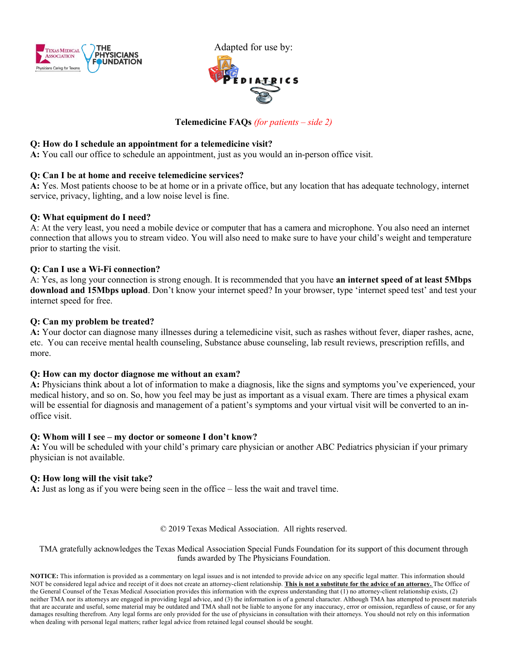

Adapted for use by:

# **Telemedicine FAQs** *(for patients – side 2)*

# **Q: How do I schedule an appointment for a telemedicine visit?**

**A:** You call our office to schedule an appointment, just as you would an in-person office visit.

#### **Q: Can I be at home and receive telemedicine services?**

**A:** Yes. Most patients choose to be at home or in a private office, but any location that has adequate technology, internet service, privacy, lighting, and a low noise level is fine.

#### **Q: What equipment do I need?**

A: At the very least, you need a mobile device or computer that has a camera and microphone. You also need an internet connection that allows you to stream video. You will also need to make sure to have your child's weight and temperature prior to starting the visit.

#### **Q: Can I use a Wi-Fi connection?**

A: Yes, as long your connection is strong enough. It is recommended that you have **an internet speed of at least 5Mbps download and 15Mbps upload**. Don't know your internet speed? In your browser, type 'internet speed test' and test your internet speed for free.

#### **Q: Can my problem be treated?**

**A:** Your doctor can diagnose many illnesses during a telemedicine visit, such as rashes without fever, diaper rashes, acne, etc. You can receive mental health counseling, Substance abuse counseling, lab result reviews, prescription refills, and more.

#### **Q: How can my doctor diagnose me without an exam?**

**A:** Physicians think about a lot of information to make a diagnosis, like the signs and symptoms you've experienced, your medical history, and so on. So, how you feel may be just as important as a visual exam. There are times a physical exam will be essential for diagnosis and management of a patient's symptoms and your virtual visit will be converted to an inoffice visit.

#### **Q: Whom will I see – my doctor or someone I don't know?**

**A:** You will be scheduled with your child's primary care physician or another ABC Pediatrics physician if your primary physician is not available.

#### **Q: How long will the visit take?**

**A:** Just as long as if you were being seen in the office – less the wait and travel time.

© 2019 Texas Medical Association. All rights reserved.

TMA gratefully acknowledges the Texas Medical Association Special Funds Foundation for its support of this document through funds awarded by The Physicians Foundation.

**NOTICE:** This information is provided as a commentary on legal issues and is not intended to provide advice on any specific legal matter. This information should NOT be considered legal advice and receipt of it does not create an attorney-client relationship. **This is not a substitute for the advice of an attorney.** The Office of the General Counsel of the Texas Medical Association provides this information with the express understanding that (1) no attorney-client relationship exists, (2) neither TMA nor its attorneys are engaged in providing legal advice, and (3) the information is of a general character. Although TMA has attempted to present materials that are accurate and useful, some material may be outdated and TMA shall not be liable to anyone for any inaccuracy, error or omission, regardless of cause, or for any damages resulting therefrom. Any legal forms are only provided for the use of physicians in consultation with their attorneys. You should not rely on this information when dealing with personal legal matters; rather legal advice from retained legal counsel should be sought.